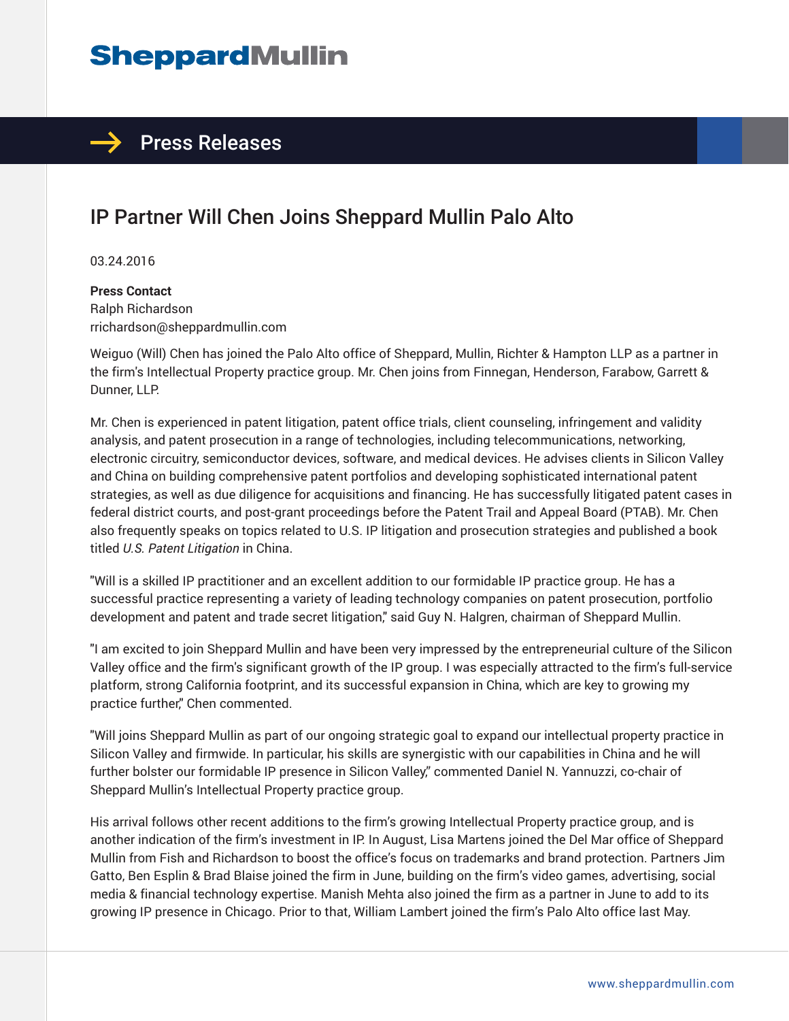# **SheppardMullin**

### $\rightarrow$  Press Releases

## IP Partner Will Chen Joins Sheppard Mullin Palo Alto

03.24.2016

**Press Contact** Ralph Richardson rrichardson@sheppardmullin.com

Weiguo (Will) Chen has joined the Palo Alto office of Sheppard, Mullin, Richter & Hampton LLP as a partner in the firm's Intellectual Property practice group. Mr. Chen joins from Finnegan, Henderson, Farabow, Garrett & Dunner, LLP.

Mr. Chen is experienced in patent litigation, patent office trials, client counseling, infringement and validity analysis, and patent prosecution in a range of technologies, including telecommunications, networking, electronic circuitry, semiconductor devices, software, and medical devices. He advises clients in Silicon Valley and China on building comprehensive patent portfolios and developing sophisticated international patent strategies, as well as due diligence for acquisitions and financing. He has successfully litigated patent cases in federal district courts, and post-grant proceedings before the Patent Trail and Appeal Board (PTAB). Mr. Chen also frequently speaks on topics related to U.S. IP litigation and prosecution strategies and published a book titled *U.S. Patent Litigation* in China.

"Will is a skilled IP practitioner and an excellent addition to our formidable IP practice group. He has a successful practice representing a variety of leading technology companies on patent prosecution, portfolio development and patent and trade secret litigation," said Guy N. Halgren, chairman of Sheppard Mullin.

"I am excited to join Sheppard Mullin and have been very impressed by the entrepreneurial culture of the Silicon Valley office and the firm's significant growth of the IP group. I was especially attracted to the firm's full-service platform, strong California footprint, and its successful expansion in China, which are key to growing my practice further," Chen commented.

"Will joins Sheppard Mullin as part of our ongoing strategic goal to expand our intellectual property practice in Silicon Valley and firmwide. In particular, his skills are synergistic with our capabilities in China and he will further bolster our formidable IP presence in Silicon Valley," commented Daniel N. Yannuzzi, co-chair of Sheppard Mullin's Intellectual Property practice group.

His arrival follows other recent additions to the firm's growing Intellectual Property practice group, and is another indication of the firm's investment in IP. In August, Lisa Martens joined the Del Mar office of Sheppard Mullin from Fish and Richardson to boost the office's focus on trademarks and brand protection. Partners Jim Gatto, Ben Esplin & Brad Blaise joined the firm in June, building on the firm's video games, advertising, social media & financial technology expertise. Manish Mehta also joined the firm as a partner in June to add to its growing IP presence in Chicago. Prior to that, William Lambert joined the firm's Palo Alto office last May.